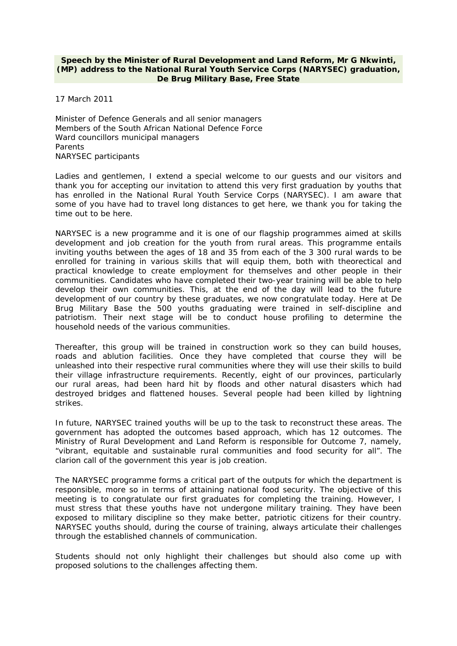## **Speech by the Minister of Rural Development and Land Reform, Mr G Nkwinti, (MP) address to the National Rural Youth Service Corps (NARYSEC) graduation, De Brug Military Base, Free State**

17 March 2011

Minister of Defence Generals and all senior managers Members of the South African National Defence Force Ward councillors municipal managers Parents NARYSEC participants

Ladies and gentlemen, I extend a special welcome to our guests and our visitors and thank you for accepting our invitation to attend this very first graduation by youths that has enrolled in the National Rural Youth Service Corps (NARYSEC). I am aware that some of you have had to travel long distances to get here, we thank you for taking the time out to be here.

NARYSEC is a new programme and it is one of our flagship programmes aimed at skills development and job creation for the youth from rural areas. This programme entails inviting youths between the ages of 18 and 35 from each of the 3 300 rural wards to be enrolled for training in various skills that will equip them, both with theorectical and practical knowledge to create employment for themselves and other people in their communities. Candidates who have completed their two-year training will be able to help develop their own communities. This, at the end of the day will lead to the future development of our country by these graduates, we now congratulate today. Here at De Brug Military Base the 500 youths graduating were trained in self-discipline and patriotism. Their next stage will be to conduct house profiling to determine the household needs of the various communities.

Thereafter, this group will be trained in construction work so they can build houses, roads and ablution facilities. Once they have completed that course they will be unleashed into their respective rural communities where they will use their skills to build their village infrastructure requirements. Recently, eight of our provinces, particularly our rural areas, had been hard hit by floods and other natural disasters which had destroyed bridges and flattened houses. Several people had been killed by lightning strikes.

In future, NARYSEC trained youths will be up to the task to reconstruct these areas. The government has adopted the outcomes based approach, which has 12 outcomes. The Ministry of Rural Development and Land Reform is responsible for Outcome 7, namely, "vibrant, equitable and sustainable rural communities and food security for all". The clarion call of the government this year is job creation.

The NARYSEC programme forms a critical part of the outputs for which the department is responsible, more so in terms of attaining national food security. The objective of this meeting is to congratulate our first graduates for completing the training. However, I must stress that these youths have not undergone military training. They have been exposed to military discipline so they make better, patriotic citizens for their country. NARYSEC youths should, during the course of training, always articulate their challenges through the established channels of communication.

Students should not only highlight their challenges but should also come up with proposed solutions to the challenges affecting them.